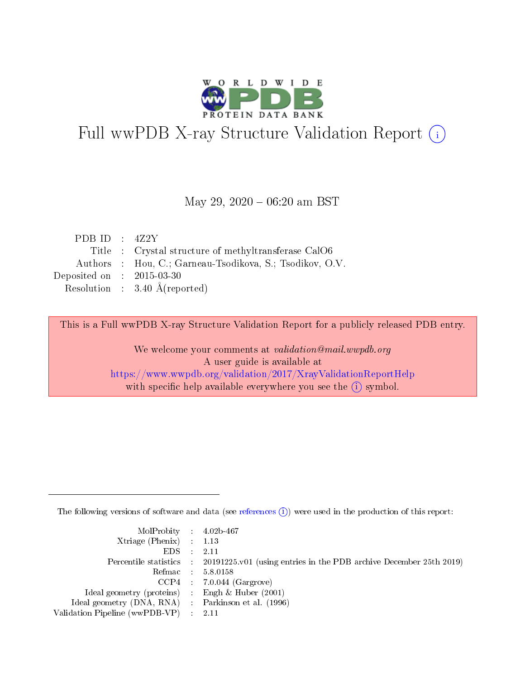

# Full wwPDB X-ray Structure Validation Report (i)

#### May 29,  $2020 - 06:20$  am BST

| PDB ID : $4Z2Y$             |                                                          |
|-----------------------------|----------------------------------------------------------|
|                             | Title : Crystal structure of methyltransferase CalO6     |
|                             | Authors : Hou, C.; Garneau-Tsodikova, S.; Tsodikov, O.V. |
| Deposited on : $2015-03-30$ |                                                          |
|                             | Resolution : $3.40 \text{ Å}$ (reported)                 |
|                             |                                                          |

This is a Full wwPDB X-ray Structure Validation Report for a publicly released PDB entry.

We welcome your comments at validation@mail.wwpdb.org A user guide is available at <https://www.wwpdb.org/validation/2017/XrayValidationReportHelp> with specific help available everywhere you see the  $(i)$  symbol.

The following versions of software and data (see [references](https://www.wwpdb.org/validation/2017/XrayValidationReportHelp#references)  $(i)$ ) were used in the production of this report:

| MolProbity : $4.02b-467$                            |                                                                                            |
|-----------------------------------------------------|--------------------------------------------------------------------------------------------|
| Xtriage (Phenix) $: 1.13$                           |                                                                                            |
| EDS -                                               | 2.11                                                                                       |
|                                                     | Percentile statistics : 20191225.v01 (using entries in the PDB archive December 25th 2019) |
|                                                     | Refmac 58.0158                                                                             |
|                                                     | $CCP4$ 7.0.044 (Gargrove)                                                                  |
| Ideal geometry (proteins) : Engh $\&$ Huber (2001)  |                                                                                            |
| Ideal geometry (DNA, RNA) : Parkinson et al. (1996) |                                                                                            |
| Validation Pipeline (wwPDB-VP)                      | -2.11                                                                                      |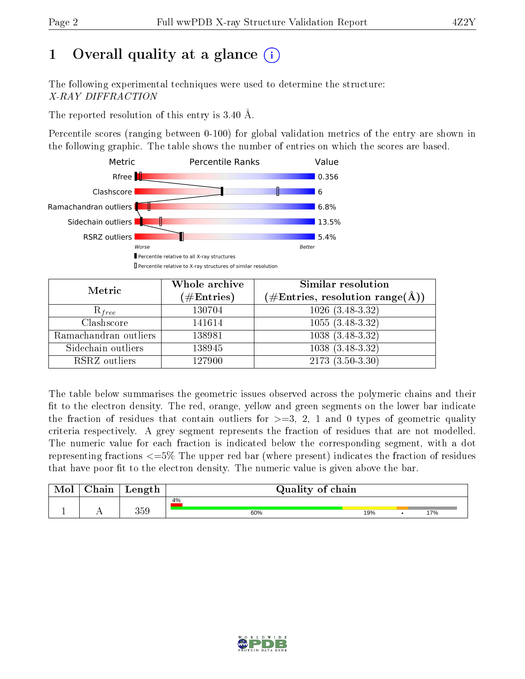# 1 [O](https://www.wwpdb.org/validation/2017/XrayValidationReportHelp#overall_quality)verall quality at a glance  $(i)$

The following experimental techniques were used to determine the structure: X-RAY DIFFRACTION

The reported resolution of this entry is 3.40 Å.

Percentile scores (ranging between 0-100) for global validation metrics of the entry are shown in the following graphic. The table shows the number of entries on which the scores are based.



| Metric                | Whole archive<br>$(\#\text{Entries})$ | Similar resolution<br>$(\#\text{Entries}, \text{resolution range}(\text{\AA}))$ |
|-----------------------|---------------------------------------|---------------------------------------------------------------------------------|
| $R_{free}$            | 130704                                | $1026(3.48-3.32)$                                                               |
| Clashscore            | 141614                                | $1055(3.48-3.32)$                                                               |
| Ramachandran outliers | 138981                                | $1038(3.48-3.32)$                                                               |
| Sidechain outliers    | 138945                                | $1038(3.48-3.32)$                                                               |
| RSRZ outliers         | 127900                                | $2173(3.50-3.30)$                                                               |

The table below summarises the geometric issues observed across the polymeric chains and their fit to the electron density. The red, orange, yellow and green segments on the lower bar indicate the fraction of residues that contain outliers for  $>=3, 2, 1$  and 0 types of geometric quality criteria respectively. A grey segment represents the fraction of residues that are not modelled. The numeric value for each fraction is indicated below the corresponding segment, with a dot representing fractions  $\epsilon=5\%$  The upper red bar (where present) indicates the fraction of residues that have poor fit to the electron density. The numeric value is given above the bar.

| Mol       | $\alpha$ hain               | Length | Quality of chain |     |  |     |  |  |
|-----------|-----------------------------|--------|------------------|-----|--|-----|--|--|
|           |                             |        | 4%               |     |  |     |  |  |
| <u>д.</u> | $\rightarrow$ $\rightarrow$ | 359    | 60%              | 19% |  | 17% |  |  |

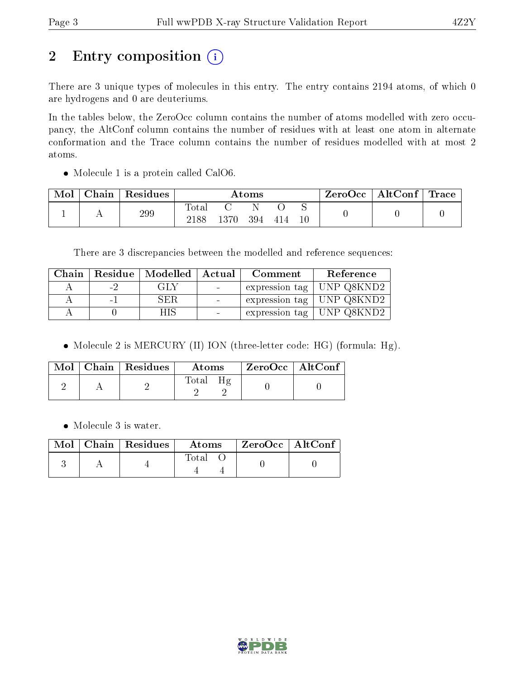# 2 Entry composition (i)

There are 3 unique types of molecules in this entry. The entry contains 2194 atoms, of which 0 are hydrogens and 0 are deuteriums.

In the tables below, the ZeroOcc column contains the number of atoms modelled with zero occupancy, the AltConf column contains the number of residues with at least one atom in alternate conformation and the Trace column contains the number of residues modelled with at most 2 atoms.

• Molecule 1 is a protein called CalO6.

| Mol | $\overline{\phantom{a}}$ Chain $\overline{\phantom{a}}$ | $^\shortparallel$ Residues | Atoms               |      |     |     |  | $\text{ZeroOcc} \mid \text{AltConf} \mid \text{Trace} \mid$ |  |
|-----|---------------------------------------------------------|----------------------------|---------------------|------|-----|-----|--|-------------------------------------------------------------|--|
|     |                                                         | 299                        | $\rm Total$<br>2188 | 1370 | 394 | 414 |  |                                                             |  |

There are 3 discrepancies between the modelled and reference sequences:

|     | Chain   Residue   Modelled   Actual | ${\bf Comment}$ | Reference                             |
|-----|-------------------------------------|-----------------|---------------------------------------|
| - 2 | GLY                                 |                 | expression tag   UNP Q8KND2           |
|     | SER                                 |                 | $\pm$ expression tag $\pm$ UNP Q8KND2 |
|     |                                     |                 | expression tag   UNP Q8KND2           |

• Molecule 2 is MERCURY (II) ION (three-letter code: HG) (formula: Hg).

|  | Mol   Chain   Residues | Atoms              | $\rm ZeroOcc$   Alt $\rm Conf$ |  |
|--|------------------------|--------------------|--------------------------------|--|
|  |                        | $H\sigma$<br>Total |                                |  |

• Molecule 3 is water.

|  | $Mol$   Chain   Residues | Atoms       | $ZeroOcc$   AltConf |  |
|--|--------------------------|-------------|---------------------|--|
|  |                          | $\rm Total$ |                     |  |

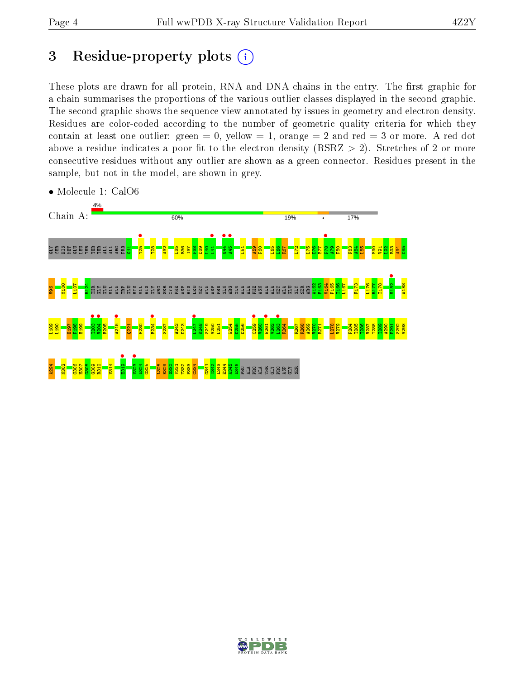## 3 Residue-property plots  $(i)$

These plots are drawn for all protein, RNA and DNA chains in the entry. The first graphic for a chain summarises the proportions of the various outlier classes displayed in the second graphic. The second graphic shows the sequence view annotated by issues in geometry and electron density. Residues are color-coded according to the number of geometric quality criteria for which they contain at least one outlier: green  $= 0$ , yellow  $= 1$ , orange  $= 2$  and red  $= 3$  or more. A red dot above a residue indicates a poor fit to the electron density (RSRZ  $> 2$ ). Stretches of 2 or more consecutive residues without any outlier are shown as a green connector. Residues present in the sample, but not in the model, are shown in grey.



• Molecule 1: CalO6

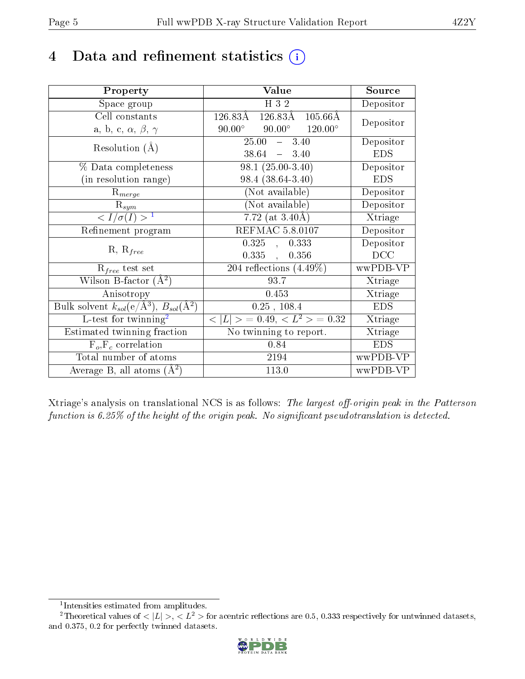# 4 Data and refinement statistics  $(i)$

| Property                                                         | Value                                               | Source     |
|------------------------------------------------------------------|-----------------------------------------------------|------------|
| Space group                                                      | H 3 2                                               | Depositor  |
| Cell constants                                                   | 126.83Å<br>126.83Å<br>$105.66\text{\AA}$            | Depositor  |
| a, b, c, $\alpha$ , $\beta$ , $\gamma$                           | $90.00^{\circ}$ $120.00^{\circ}$<br>$90.00^{\circ}$ |            |
| Resolution $(A)$                                                 | $25.00 - 3.40$                                      | Depositor  |
|                                                                  | $38.64 = 3.40$                                      | <b>EDS</b> |
| % Data completeness                                              | $98.1(25.00-3.40)$                                  | Depositor  |
| (in resolution range)                                            | 98.4 (38.64-3.40)                                   | <b>EDS</b> |
| $R_{merge}$                                                      | (Not available)                                     | Depositor  |
| $\mathrm{R}_{sym}$                                               | (Not available)                                     | Depositor  |
| $\langle I/\sigma(I) \rangle^{-1}$                               | 7.72 (at $3.40\text{\AA}$ )                         | Xtriage    |
| Refinement program                                               | <b>REFMAC 5.8.0107</b>                              | Depositor  |
|                                                                  | 0.325,<br>0.333                                     | Depositor  |
| $R, R_{free}$                                                    | 0.335,<br>0.356                                     | DCC        |
| $R_{free}$ test set                                              | $\overline{204}$ reflections $(4.49\%)$             | wwPDB-VP   |
| Wilson B-factor $(A^2)$                                          | 93.7                                                | Xtriage    |
| Anisotropy                                                       | 0.453                                               | Xtriage    |
| Bulk solvent $k_{sol}(\text{e}/\text{A}^3), B_{sol}(\text{A}^2)$ | $0.25$ , $108.4$                                    | <b>EDS</b> |
| L-test for $\mathrm{twinning}^2$                                 | $< L >$ = 0.49, $< L2$ > = 0.32                     | Xtriage    |
| Estimated twinning fraction                                      | No twinning to report.                              | Xtriage    |
| $F_o, F_c$ correlation                                           | 0.84                                                | <b>EDS</b> |
| Total number of atoms                                            | 2194                                                | wwPDB-VP   |
| Average B, all atoms $(A^2)$                                     | 113.0                                               | wwPDB-VP   |

Xtriage's analysis on translational NCS is as follows: The largest off-origin peak in the Patterson function is  $6.25\%$  of the height of the origin peak. No significant pseudotranslation is detected.

<sup>&</sup>lt;sup>2</sup>Theoretical values of  $\langle |L| \rangle$ ,  $\langle L^2 \rangle$  for acentric reflections are 0.5, 0.333 respectively for untwinned datasets, and 0.375, 0.2 for perfectly twinned datasets.



<span id="page-4-1"></span><span id="page-4-0"></span><sup>1</sup> Intensities estimated from amplitudes.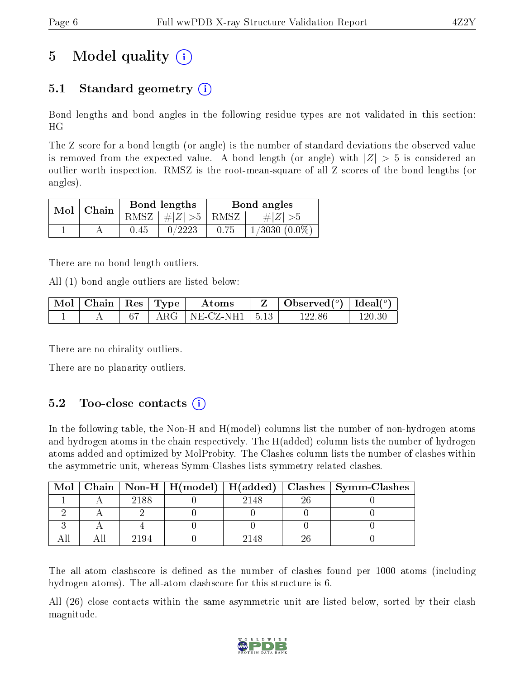## 5 Model quality  $(i)$

## 5.1 Standard geometry  $\overline{()}$

Bond lengths and bond angles in the following residue types are not validated in this section: HG

The Z score for a bond length (or angle) is the number of standard deviations the observed value is removed from the expected value. A bond length (or angle) with  $|Z| > 5$  is considered an outlier worth inspection. RMSZ is the root-mean-square of all Z scores of the bond lengths (or angles).

|  | $Mol$   Chain |      | Bond lengths              | Bond angles |                    |  |
|--|---------------|------|---------------------------|-------------|--------------------|--|
|  |               |      | $RMSZ \mid # Z  > 5$ RMSZ |             | $\# Z  > 5$        |  |
|  |               | 0.45 | 0/2223                    | 0.75        | $1/3030$ $(0.0\%)$ |  |

There are no bond length outliers.

All (1) bond angle outliers are listed below:

| $\vert$ Mol $\vert$ Chain $\vert$ Res $\vert$ Type $\vert$ |  | Atoms                                                          | Observed $(^\circ)$   Ideal $(^\circ)$ |        |
|------------------------------------------------------------|--|----------------------------------------------------------------|----------------------------------------|--------|
|                                                            |  | $\parallel$ ARG $\parallel$ NE-CZ-NH1 $\parallel$ 5.13 $\perp$ | 122.86                                 | 120 30 |

There are no chirality outliers.

There are no planarity outliers.

## $5.2$  Too-close contacts  $(i)$

In the following table, the Non-H and H(model) columns list the number of non-hydrogen atoms and hydrogen atoms in the chain respectively. The H(added) column lists the number of hydrogen atoms added and optimized by MolProbity. The Clashes column lists the number of clashes within the asymmetric unit, whereas Symm-Clashes lists symmetry related clashes.

| Mol |      |      |    | Chain   Non-H   H(model)   H(added)   Clashes   Symm-Clashes |
|-----|------|------|----|--------------------------------------------------------------|
|     | 2188 | 2148 | റഭ |                                                              |
|     |      |      |    |                                                              |
|     |      |      |    |                                                              |
|     | 2194 | 2148 |    |                                                              |

The all-atom clashscore is defined as the number of clashes found per 1000 atoms (including hydrogen atoms). The all-atom clashscore for this structure is 6.

All (26) close contacts within the same asymmetric unit are listed below, sorted by their clash magnitude.

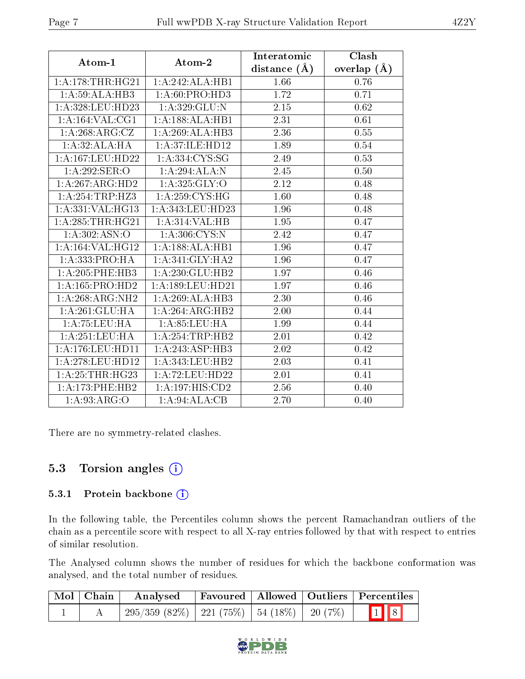| Atom-1               | Atom-2                     | Interatomic    | Clash           |
|----------------------|----------------------------|----------------|-----------------|
|                      |                            | distance $(A)$ | overlap $(\AA)$ |
| 1:A:178:THR:HG21     | 1:A:242:ALA:HBI            | 1.66           | 0.76            |
| 1:A:59:ALA:HB3       | 1: A:60: PRO:HD3           | 1.72           | 0.71            |
| 1: A:328:LEU:HD23    | 1: A:329: GLU:N            | 2.15           | 0.62            |
| 1:A:164:VAL:CG1      | 1:A:188:ALA:HB1            | 2.31           | 0.61            |
| 1:A:268:ARG:CZ       | 1:A:269:ALA:HB3            | 2.36           | 0.55            |
| 1:A:32:ALA:HA        | 1:A:37:ILE:HD12            | 1.89           | 0.54            |
| 1: A: 167: LEU: HD22 | 1:A:334:C <sub>YS:SG</sub> | 2.49           | 0.53            |
| 1:A:292:SER:O        | 1:A:294:ALA:N              | 2.45           | 0.50            |
| 1:A:267:ARG:HD2      | 1: A:325: GLY:O            | 2.12           | 0.48            |
| 1: A:254:TRP:HZ3     | 1: A:259:CYS:HG            | 1.60           | 0.48            |
| 1:A:331:VAL:HG13     | 1:A:343:LEU:HD23           | 1.96           | 0.48            |
| 1:A:285:THR:HG21     | 1: A:314: VAL: HB          | 1.95           | 0.47            |
| 1:A:302:ASN:O        | 1: A:306: CYS:N            | 2.42           | 0.47            |
| 1:A:164:VAL:HG12     | 1:A:188:ALA:HB1            | 1.96           | 0.47            |
| 1:A:333:PRO:HA       | 1:A:341:GLY:HA2            | 1.96           | 0.47            |
| 1: A:205:PHE:HB3     | 1:A:230:GLU:HB2            | 1.97           | 0.46            |
| 1:A:165:PRO:HD2      | 1:A:189:LEU:HD21           | 1.97           | 0.46            |
| 1: A:268: ARG: NH2   | 1:A:269:ALA:HB3            | 2.30           | 0.46            |
| 1:A:261:GLU:HA       | 1:A:264:ARG:HB2            | 2.00           | 0.44            |
| 1: A: 75: LEU: HA    | 1: A:85:LEU:HA             | 1.99           | 0.44            |
| 1: A:251:LEU:HA      | 1:A:254:TRP:HB2            | 2.01           | 0.42            |
| 1: A:176: LEU: HD11  | 1:A:243:ASP:HB3            | 2.02           | 0.42            |
| 1: A:278:LEU:HD12    | 1:A:343:LEU:HB2            | 2.03           | 0.41            |
| 1: A:25:THR:HG23     | 1:A:72:LEU:HD22            | 2.01           | 0.41            |
| 1: A:173:PHE:HB2     | 1:A:197:HIS:CD2            | 2.56           | 0.40            |
| 1: A:93: ARG:O       | 1:A:94:ALA:CB              | 2.70           | 0.40            |

There are no symmetry-related clashes.

## 5.3 Torsion angles  $(i)$

#### 5.3.1 Protein backbone (i)

In the following table, the Percentiles column shows the percent Ramachandran outliers of the chain as a percentile score with respect to all X-ray entries followed by that with respect to entries of similar resolution.

The Analysed column shows the number of residues for which the backbone conformation was analysed, and the total number of residues.

| Mol   Chain | Analysed                                             |  | Favoured   Allowed   Outliers   Percentiles |
|-------------|------------------------------------------------------|--|---------------------------------------------|
|             | $295/359$ (82\%)   221 (75\%)   54 (18\%)   20 (7\%) |  | $\boxed{1}$ $\boxed{8}$                     |

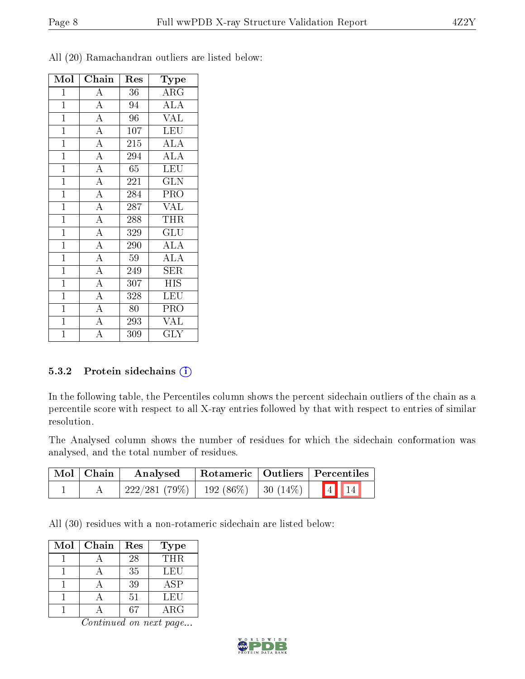| Mol            | Chain              | Res             | $_{\rm Type}$           |
|----------------|--------------------|-----------------|-------------------------|
| $\overline{1}$ | $\overline{A}$     | 36              | $\rm{ARG}$              |
| $\mathbf{1}$   | $\overline{A}$     | 94              | $\overline{ALA}$        |
| $\overline{1}$ | $\overline{A}$     | $\overline{96}$ | $\overline{\text{VAL}}$ |
| $\mathbf{1}$   | $\overline{A}$     | 107             | <b>LEU</b>              |
| $\mathbf{1}$   | $\overline{A}$     | 215             | <b>ALA</b>              |
| $\overline{1}$ | $\overline{A}$     | 294             | $\overline{\rm ALA}$    |
| $\overline{1}$ | $\overline{A}$     | 65              | <b>LEU</b>              |
| $\overline{1}$ | $\overline{A}$     | 221             | $\overline{\text{GLN}}$ |
| $\mathbf{1}$   | $\overline{A}$     | 284             | PRO                     |
| $\overline{1}$ | $\overline{A}$     | 287             | <b>VAL</b>              |
| $\mathbf{1}$   | $\overline{A}$     | 288             | <b>THR</b>              |
| $\overline{1}$ | $\overline{A}$     | 329             | GLU                     |
| $\overline{1}$ | $\overline{A}$     | 290             | $\overline{ALA}$        |
| $\mathbf{1}$   | $\overline{A}$     | 59              | <b>ALA</b>              |
| $\overline{1}$ | $\overline{A}$     | 249             | <b>SER</b>              |
| $\mathbf{1}$   | $\overline{\rm A}$ | 307             | <b>HIS</b>              |
| $\overline{1}$ | $\overline{A}$     | 328             | <b>LEU</b>              |
| $\overline{1}$ | $\overline{A}$     | 80              | $\overline{\text{PRO}}$ |
| $\overline{1}$ | $\overline{A}$     | 293             | <b>VAL</b>              |
| $\overline{1}$ | $\overline{\rm A}$ | 309             | <b>GLY</b>              |

All (20) Ramachandran outliers are listed below:

#### 5.3.2 Protein sidechains (i)

In the following table, the Percentiles column shows the percent sidechain outliers of the chain as a percentile score with respect to all X-ray entries followed by that with respect to entries of similar resolution.

The Analysed column shows the number of residues for which the sidechain conformation was analysed, and the total number of residues.

| Mol Chain | Analysed                                 | Rotameric   Outliers   Percentiles |  |      |  |
|-----------|------------------------------------------|------------------------------------|--|------|--|
|           | $222/281(79\%)$   192 (86\%)   30 (14\%) |                                    |  | 4 14 |  |

All (30) residues with a non-rotameric sidechain are listed below:

| Mol | Chain | Res | Type        |
|-----|-------|-----|-------------|
|     |       | 28  | <b>THR</b>  |
|     |       | 35  | LEU         |
|     |       | 39  | ASP         |
|     |       | 51  | LEU         |
|     |       |     | ${\rm ARG}$ |

Continued on next page...

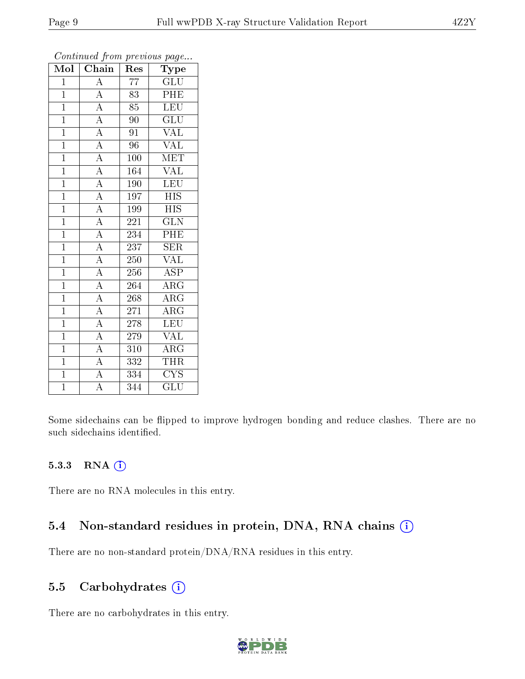| $\bf{Mol}$     | . <i>.</i><br>Chain | Res              | $\mathbf{r}$ $\mathbf{v}$ $\mathbf{r}$<br>Type |
|----------------|---------------------|------------------|------------------------------------------------|
| $\mathbf{1}$   | A                   | 77               | GLU                                            |
| $\overline{1}$ | $\overline{\rm A}$  | 83               | PHE                                            |
| $\overline{1}$ | $\overline{A}$      | 85               | <b>LEU</b>                                     |
| $\mathbf{1}$   | $\overline{A}$      | 90               | $\overline{\text{GLU}}$                        |
| $\mathbf{1}$   | $\overline{A}$      | 91               | $\overline{\text{VAL}}$                        |
| $\mathbf{1}$   | $\overline{A}$      | 96               | <b>VAL</b>                                     |
| $\overline{1}$ | $\overline{A}$      | 100              | <b>MET</b>                                     |
| $\overline{1}$ | $\overline{A}$      | 164              | <b>VAL</b>                                     |
| $\mathbf{1}$   | $\overline{A}$      | 190              | $\overline{\text{LEU}}$                        |
| $\overline{1}$ | $\overline{A}$      | 197              | $\overline{HIS}$                               |
| $\mathbf{1}$   | $\overline{A}$      | 199              | <b>HIS</b>                                     |
| $\mathbf{1}$   | $\overline{A}$      | 221              | $\overline{\text{GLN}}$                        |
| $\overline{1}$ | $\overline{A}$      | 234              | PHE                                            |
| $\mathbf{1}$   | $\overline{A}$      | 237              | <b>SER</b>                                     |
| $\mathbf{1}$   | $\overline{A}$      | 250              | <b>VAL</b>                                     |
| $\mathbf{1}$   | $\overline{A}$      | 256              | $\overline{\text{ASP}}$                        |
| $\overline{1}$ | $\overline{\rm A}$  | 264              | $\overline{\rm{ARG}}$                          |
| $\mathbf{1}$   | $\overline{A}$      | 268              | $\rm{ARG}$                                     |
| $\mathbf{1}$   | $\overline{A}$      | 271              | $\overline{\rm{ARG}}$                          |
| $\overline{1}$ | $\overline{A}$      | 278              | <b>LEU</b>                                     |
| $\overline{1}$ | $\overline{A}$      | 279              | <b>VAL</b>                                     |
| $\overline{1}$ | $\overline{A}$      | 310              | $\overline{\rm{ARG}}$                          |
| $\mathbf{1}$   | $\overline{A}$      | 332              | <b>THR</b>                                     |
| $\overline{1}$ | $\overline{\rm A}$  | $\overline{3}34$ | $\overline{\text{CYS}}$                        |
| $\overline{1}$ | $\overline{\rm A}$  | 344              | GLU                                            |

Continued from previous page...

Some sidechains can be flipped to improve hydrogen bonding and reduce clashes. There are no such sidechains identified.

#### 5.3.3 RNA [O](https://www.wwpdb.org/validation/2017/XrayValidationReportHelp#rna)i

There are no RNA molecules in this entry.

#### 5.4 Non-standard residues in protein, DNA, RNA chains (i)

There are no non-standard protein/DNA/RNA residues in this entry.

#### 5.5 Carbohydrates (i)

There are no carbohydrates in this entry.

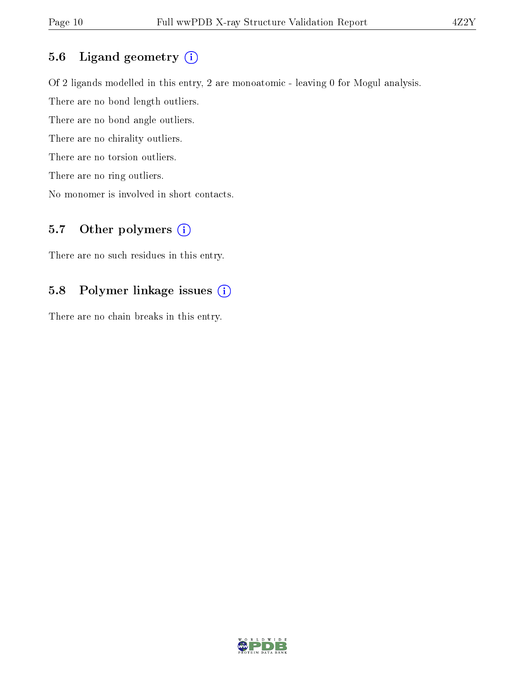### 5.6 Ligand geometry (i)

Of 2 ligands modelled in this entry, 2 are monoatomic - leaving 0 for Mogul analysis. There are no bond length outliers. There are no bond angle outliers. There are no chirality outliers. There are no torsion outliers. There are no ring outliers. No monomer is involved in short contacts.

### 5.7 [O](https://www.wwpdb.org/validation/2017/XrayValidationReportHelp#nonstandard_residues_and_ligands)ther polymers  $(i)$

There are no such residues in this entry.

### 5.8 Polymer linkage issues (i)

There are no chain breaks in this entry.

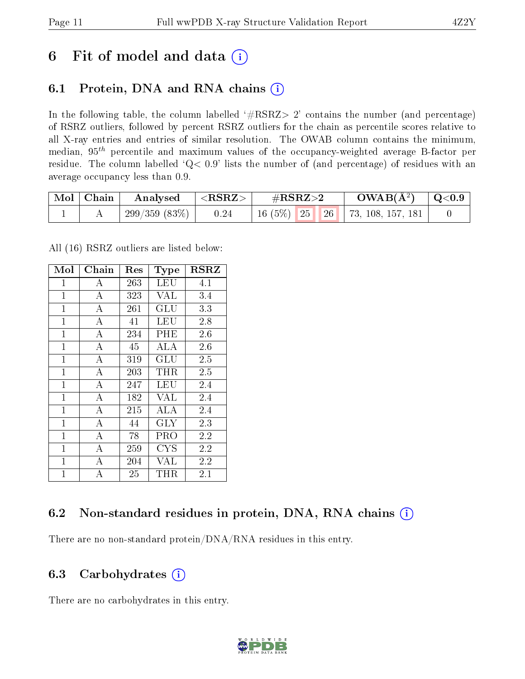## 6 Fit of model and data  $(i)$

## 6.1 Protein, DNA and RNA chains  $(i)$

In the following table, the column labelled  $#RSRZ> 2'$  contains the number (and percentage) of RSRZ outliers, followed by percent RSRZ outliers for the chain as percentile scores relative to all X-ray entries and entries of similar resolution. The OWAB column contains the minimum, median,  $95<sup>th</sup>$  percentile and maximum values of the occupancy-weighted average B-factor per residue. The column labelled ' $Q< 0.9$ ' lists the number of (and percentage) of residues with an average occupancy less than 0.9.

| $\text{Mol} \mid \text{Chain}$ | Analysed     | ${ <\hspace{-1.5pt}{\mathrm{RSRZ}} \hspace{-1.5pt}>}$ | $\#\text{RSRZ}\text{>2}$ |                  | $OWAB(A^2)$               | $\,^{\circ}$ Q<0.9 |
|--------------------------------|--------------|-------------------------------------------------------|--------------------------|------------------|---------------------------|--------------------|
|                                | 299/359(83%) | 0.24                                                  | $16(5\%)$ 25             | $\vert 26 \vert$ | $\vert$ 73, 108, 157, 181 |                    |

All (16) RSRZ outliers are listed below:

| Mol            | Chain              | $\operatorname{Res}% \left( \mathcal{N}\right) \equiv\operatorname{Res}(\mathcal{N}_{0})\cap\mathcal{N}_{1}$ | Type                    | $_{\rm RSRZ}$ |
|----------------|--------------------|--------------------------------------------------------------------------------------------------------------|-------------------------|---------------|
| $\mathbf{1}$   | А                  | 263                                                                                                          | LEU                     | 4.1           |
| $\mathbf{1}$   | $\overline{A}$     | 323                                                                                                          | <b>VAL</b>              | 3.4           |
| $\mathbf{1}$   | $\overline{A}$     | 261                                                                                                          | GLU                     | 3.3           |
| $\mathbf{1}$   | $\boldsymbol{A}$   | 41                                                                                                           | LEU                     | 2.8           |
| $\mathbf{1}$   | $\overline{\rm A}$ | 234                                                                                                          | $\overline{\text{PHE}}$ | 2.6           |
| $\mathbf{1}$   | $\overline{A}$     | 45                                                                                                           | ALA                     | 2.6           |
| $\mathbf{1}$   | $\overline{A}$     | 319                                                                                                          | GLU                     | 2.5           |
| $\mathbf{1}$   | $\boldsymbol{A}$   | 203                                                                                                          | THR                     | 2.5           |
| $\mathbf{1}$   | $\bf{A}$           | 247                                                                                                          | LEU                     | 2.4           |
| $\mathbf{1}$   | $\overline{\rm A}$ | 182                                                                                                          | <b>VAL</b>              | 2.4           |
| $\overline{1}$ | $\overline{A}$     | 215                                                                                                          | ALA                     | 2.4           |
| $\mathbf{1}$   | А                  | 44                                                                                                           | <b>GLY</b>              | 2.3           |
| $\mathbf 1$    | $\bf{A}$           | 78                                                                                                           | PRO                     | 2.2           |
| $\overline{1}$ | $\overline{A}$     | 259                                                                                                          | <b>CYS</b>              | 2.2           |
| $\mathbf{1}$   | $\bf{A}$           | 204                                                                                                          | $\overline{\text{VAL}}$ | 2.2           |
| $\overline{1}$ | $\overline{A}$     | 25                                                                                                           | THR                     | 2.1           |

## 6.2 Non-standard residues in protein, DNA, RNA chains  $(i)$

There are no non-standard protein/DNA/RNA residues in this entry.

### 6.3 Carbohydrates (i)

There are no carbohydrates in this entry.